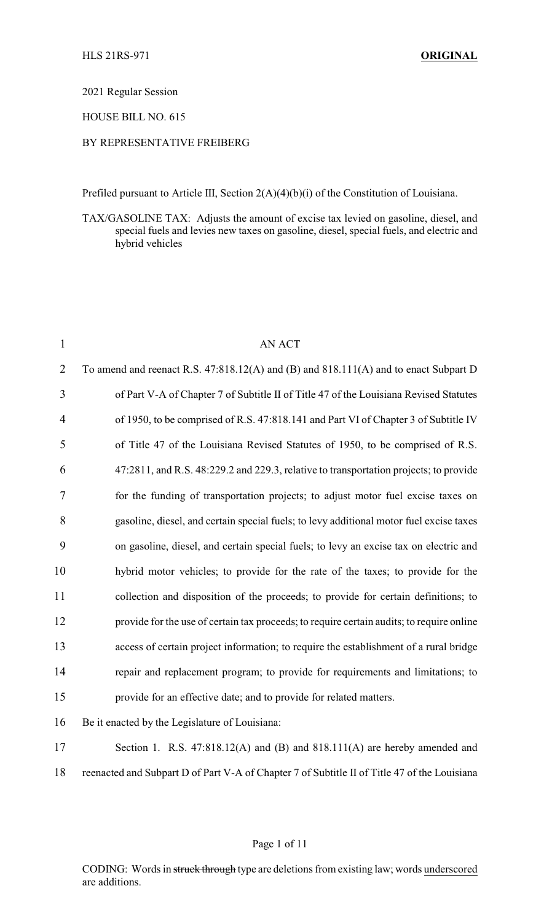2021 Regular Session

HOUSE BILL NO. 615

## BY REPRESENTATIVE FREIBERG

Prefiled pursuant to Article III, Section 2(A)(4)(b)(i) of the Constitution of Louisiana.

TAX/GASOLINE TAX: Adjusts the amount of excise tax levied on gasoline, diesel, and special fuels and levies new taxes on gasoline, diesel, special fuels, and electric and hybrid vehicles

| $\mathbf{1}$   | AN ACT                                                                                       |
|----------------|----------------------------------------------------------------------------------------------|
| $\overline{2}$ | To amend and reenact R.S. 47:818.12(A) and (B) and 818.111(A) and to enact Subpart D         |
| 3              | of Part V-A of Chapter 7 of Subtitle II of Title 47 of the Louisiana Revised Statutes        |
| 4              | of 1950, to be comprised of R.S. 47:818.141 and Part VI of Chapter 3 of Subtitle IV          |
| 5              | of Title 47 of the Louisiana Revised Statutes of 1950, to be comprised of R.S.               |
| 6              | 47:2811, and R.S. 48:229.2 and 229.3, relative to transportation projects; to provide        |
| 7              | for the funding of transportation projects; to adjust motor fuel excise taxes on             |
| 8              | gasoline, diesel, and certain special fuels; to levy additional motor fuel excise taxes      |
| 9              | on gasoline, diesel, and certain special fuels; to levy an excise tax on electric and        |
| 10             | hybrid motor vehicles; to provide for the rate of the taxes; to provide for the              |
| 11             | collection and disposition of the proceeds; to provide for certain definitions; to           |
| 12             | provide for the use of certain tax proceeds; to require certain audits; to require online    |
| 13             | access of certain project information; to require the establishment of a rural bridge        |
| 14             | repair and replacement program; to provide for requirements and limitations; to              |
| 15             | provide for an effective date; and to provide for related matters.                           |
| 16             | Be it enacted by the Legislature of Louisiana:                                               |
| 17             | Section 1. R.S. 47:818.12(A) and (B) and 818.111(A) are hereby amended and                   |
| 18             | reenacted and Subpart D of Part V-A of Chapter 7 of Subtitle II of Title 47 of the Louisiana |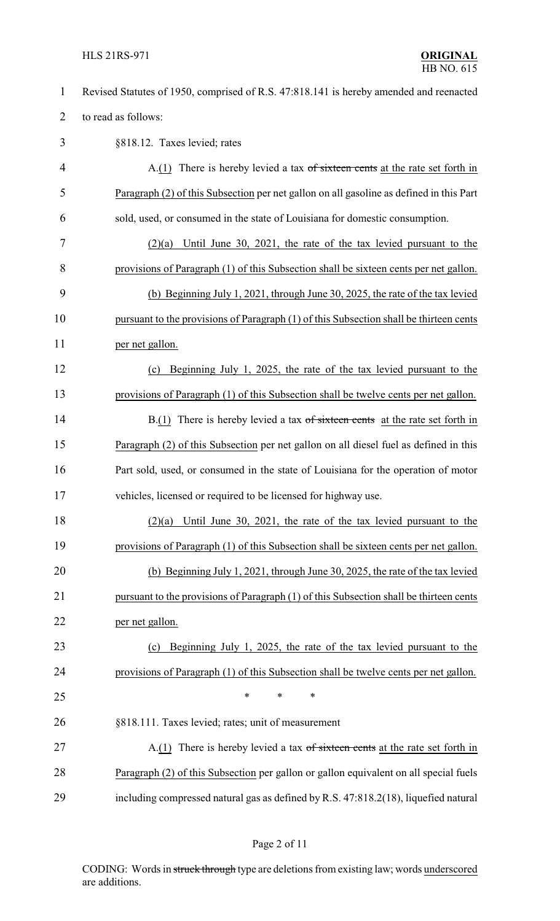## HLS 21RS-971 **ORIGINAL**

| $\mathbf{1}$   | Revised Statutes of 1950, comprised of R.S. 47:818.141 is hereby amended and reenacted  |
|----------------|-----------------------------------------------------------------------------------------|
| $\overline{2}$ | to read as follows:                                                                     |
| 3              | §818.12. Taxes levied; rates                                                            |
| $\overline{4}$ | $A(1)$ There is hereby levied a tax of sixteen cents at the rate set forth in           |
| 5              | Paragraph (2) of this Subsection per net gallon on all gasoline as defined in this Part |
| 6              | sold, used, or consumed in the state of Louisiana for domestic consumption.             |
| 7              | Until June 30, 2021, the rate of the tax levied pursuant to the<br>(2)(a)               |
| 8              | provisions of Paragraph (1) of this Subsection shall be sixteen cents per net gallon.   |
| 9              | (b) Beginning July 1, 2021, through June 30, 2025, the rate of the tax levied           |
| 10             | pursuant to the provisions of Paragraph (1) of this Subsection shall be thirteen cents  |
| 11             | per net gallon.                                                                         |
| 12             | Beginning July 1, 2025, the rate of the tax levied pursuant to the<br>(c)               |
| 13             | provisions of Paragraph (1) of this Subsection shall be twelve cents per net gallon.    |
| 14             | $B(1)$ There is hereby levied a tax of sixteen cents at the rate set forth in           |
| 15             | Paragraph (2) of this Subsection per net gallon on all diesel fuel as defined in this   |
| 16             | Part sold, used, or consumed in the state of Louisiana for the operation of motor       |
| 17             | vehicles, licensed or required to be licensed for highway use.                          |
| 18             | $(2)(a)$ Until June 30, 2021, the rate of the tax levied pursuant to the                |
| 19             | provisions of Paragraph (1) of this Subsection shall be sixteen cents per net gallon.   |
| 20             | (b) Beginning July 1, 2021, through June 30, 2025, the rate of the tax levied           |
| 21             | pursuant to the provisions of Paragraph (1) of this Subsection shall be thirteen cents  |
| 22             | per net gallon.                                                                         |
| 23             | Beginning July 1, 2025, the rate of the tax levied pursuant to the<br>(c)               |
| 24             | provisions of Paragraph (1) of this Subsection shall be twelve cents per net gallon.    |
| 25             | $\ast$<br>∗<br>∗                                                                        |
| 26             | §818.111. Taxes levied; rates; unit of measurement                                      |
| 27             | A.(1) There is hereby levied a tax of sixteen cents at the rate set forth in            |
| 28             | Paragraph (2) of this Subsection per gallon or gallon equivalent on all special fuels   |
| 29             | including compressed natural gas as defined by R.S. 47:818.2(18), liquefied natural     |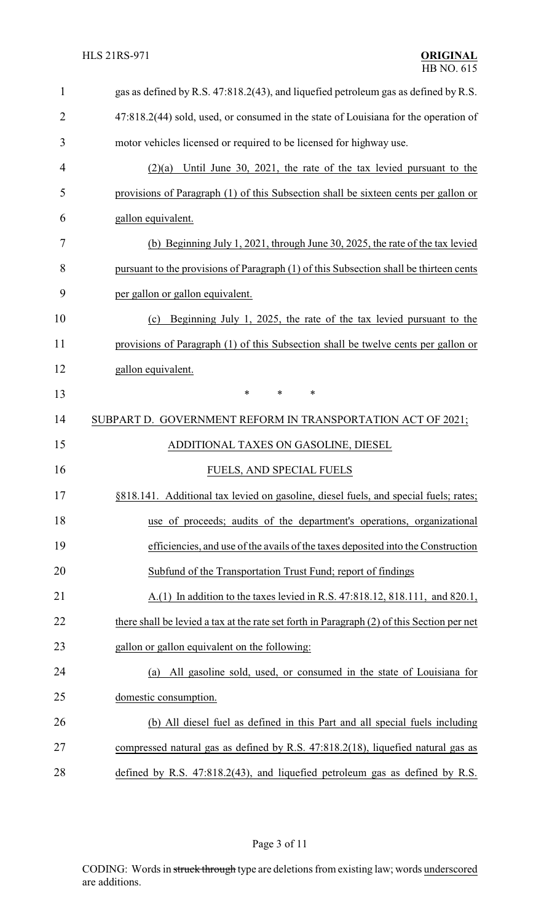| $\mathbf{1}$   | gas as defined by R.S. 47:818.2(43), and liquefied petroleum gas as defined by R.S.        |
|----------------|--------------------------------------------------------------------------------------------|
| $\overline{2}$ | 47:818.2(44) sold, used, or consumed in the state of Louisiana for the operation of        |
| 3              | motor vehicles licensed or required to be licensed for highway use.                        |
| 4              | $(2)(a)$ Until June 30, 2021, the rate of the tax levied pursuant to the                   |
| 5              | provisions of Paragraph (1) of this Subsection shall be sixteen cents per gallon or        |
| 6              | gallon equivalent.                                                                         |
| 7              | (b) Beginning July 1, 2021, through June 30, 2025, the rate of the tax levied              |
| 8              | pursuant to the provisions of Paragraph (1) of this Subsection shall be thirteen cents     |
| 9              | per gallon or gallon equivalent.                                                           |
| 10             | Beginning July 1, 2025, the rate of the tax levied pursuant to the<br>(c)                  |
| 11             | provisions of Paragraph (1) of this Subsection shall be twelve cents per gallon or         |
| 12             | gallon equivalent.                                                                         |
| 13             | $\ast$<br>$\ast$<br>$\ast$                                                                 |
| 14             | SUBPART D. GOVERNMENT REFORM IN TRANSPORTATION ACT OF 2021;                                |
| 15             | ADDITIONAL TAXES ON GASOLINE, DIESEL                                                       |
| 16             | FUELS, AND SPECIAL FUELS                                                                   |
| 17             | §818.141. Additional tax levied on gasoline, diesel fuels, and special fuels; rates;       |
| 18             | use of proceeds; audits of the department's operations, organizational                     |
| 19             | efficiencies, and use of the avails of the taxes deposited into the Construction           |
| 20             | Subfund of the Transportation Trust Fund; report of findings                               |
| 21             | A.(1) In addition to the taxes levied in R.S. 47:818.12, 818.111, and 820.1,               |
| 22             | there shall be levied a tax at the rate set forth in Paragraph (2) of this Section per net |
| 23             | gallon or gallon equivalent on the following:                                              |
| 24             | All gasoline sold, used, or consumed in the state of Louisiana for<br>(a)                  |
| 25             | domestic consumption.                                                                      |
| 26             | (b) All diesel fuel as defined in this Part and all special fuels including                |
| 27             | compressed natural gas as defined by R.S. 47:818.2(18), liquefied natural gas as           |
| 28             | defined by R.S. $47:818.2(43)$ , and liquefied petroleum gas as defined by R.S.            |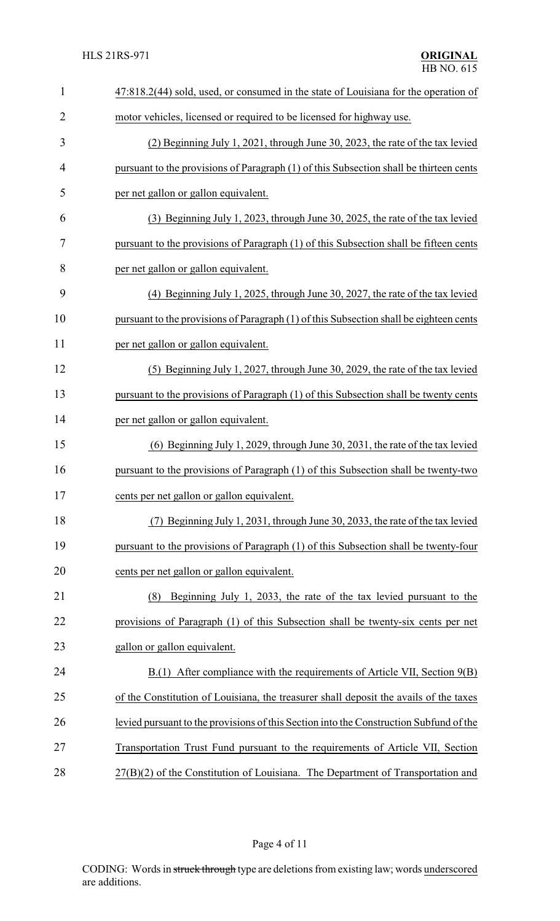| $\mathbf{1}$   | 47:818.2(44) sold, used, or consumed in the state of Louisiana for the operation of    |
|----------------|----------------------------------------------------------------------------------------|
| $\overline{2}$ | motor vehicles, licensed or required to be licensed for highway use.                   |
| 3              | (2) Beginning July 1, 2021, through June 30, 2023, the rate of the tax levied          |
| $\overline{4}$ | pursuant to the provisions of Paragraph (1) of this Subsection shall be thirteen cents |
| 5              | per net gallon or gallon equivalent.                                                   |
| 6              | (3) Beginning July 1, 2023, through June 30, 2025, the rate of the tax levied          |
| 7              | pursuant to the provisions of Paragraph (1) of this Subsection shall be fifteen cents  |
| 8              | per net gallon or gallon equivalent.                                                   |
| 9              | (4) Beginning July 1, 2025, through June 30, 2027, the rate of the tax levied          |
| 10             | pursuant to the provisions of Paragraph (1) of this Subsection shall be eighteen cents |
| 11             | per net gallon or gallon equivalent.                                                   |
| 12             | (5) Beginning July 1, 2027, through June 30, 2029, the rate of the tax levied          |
| 13             | pursuant to the provisions of Paragraph (1) of this Subsection shall be twenty cents   |
| 14             | per net gallon or gallon equivalent.                                                   |
| 15             | $(6)$ Beginning July 1, 2029, through June 30, 2031, the rate of the tax levied        |
| 16             | pursuant to the provisions of Paragraph (1) of this Subsection shall be twenty-two     |
| 17             | cents per net gallon or gallon equivalent.                                             |
| 18             | (7) Beginning July 1, 2031, through June 30, 2033, the rate of the tax levied          |
| 19             | pursuant to the provisions of Paragraph (1) of this Subsection shall be twenty-four    |
| 20             | cents per net gallon or gallon equivalent.                                             |
| 21             | Beginning July 1, 2033, the rate of the tax levied pursuant to the<br>(8)              |
| 22             | provisions of Paragraph (1) of this Subsection shall be twenty-six cents per net       |
| 23             | gallon or gallon equivalent.                                                           |
| 24             | B.(1) After compliance with the requirements of Article VII, Section 9(B)              |
| 25             | of the Constitution of Louisiana, the treasurer shall deposit the avails of the taxes  |
| 26             | levied pursuant to the provisions of this Section into the Construction Subfund of the |
| 27             | Transportation Trust Fund pursuant to the requirements of Article VII, Section         |
| 28             | 27(B)(2) of the Constitution of Louisiana. The Department of Transportation and        |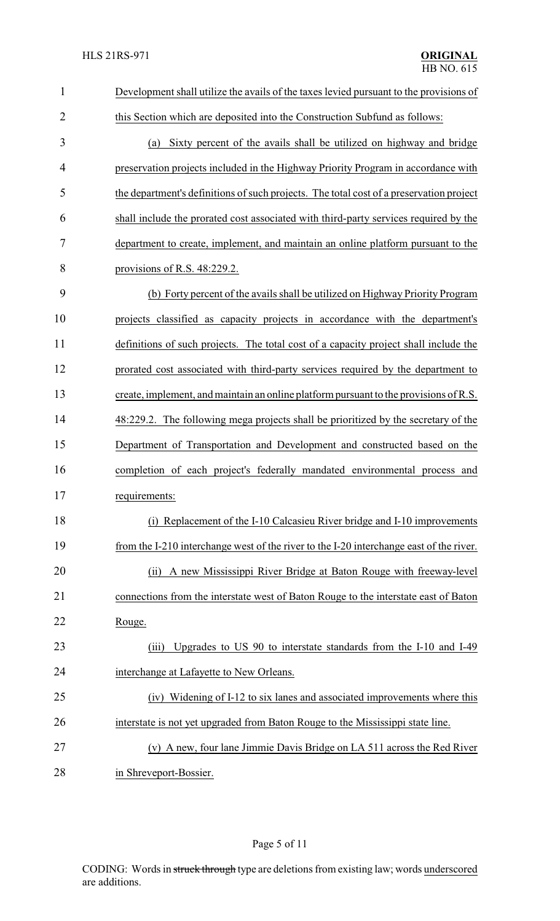| $\mathbf{1}$   | Development shall utilize the avails of the taxes levied pursuant to the provisions of  |
|----------------|-----------------------------------------------------------------------------------------|
| $\overline{2}$ | this Section which are deposited into the Construction Subfund as follows:              |
| 3              | (a) Sixty percent of the avails shall be utilized on highway and bridge                 |
| 4              | preservation projects included in the Highway Priority Program in accordance with       |
| 5              | the department's definitions of such projects. The total cost of a preservation project |
| 6              | shall include the prorated cost associated with third-party services required by the    |
| 7              | department to create, implement, and maintain an online platform pursuant to the        |
| 8              | provisions of R.S. $48:229.2$ .                                                         |
| 9              | (b) Forty percent of the avails shall be utilized on Highway Priority Program           |
| 10             | projects classified as capacity projects in accordance with the department's            |
| 11             | definitions of such projects. The total cost of a capacity project shall include the    |
| 12             | prorated cost associated with third-party services required by the department to        |
| 13             | create, implement, and maintain an online platform pursuant to the provisions of R.S.   |
| 14             | 48:229.2. The following mega projects shall be prioritized by the secretary of the      |
| 15             | Department of Transportation and Development and constructed based on the               |
| 16             | completion of each project's federally mandated environmental process and               |
| 17             | requirements:                                                                           |
| 18             | (i) Replacement of the I-10 Calcasieu River bridge and I-10 improvements                |
| 19             | from the I-210 interchange west of the river to the I-20 interchange east of the river. |
| 20             | A new Mississippi River Bridge at Baton Rouge with freeway-level<br>(ii)                |
| 21             | connections from the interstate west of Baton Rouge to the interstate east of Baton     |
| 22             | Rouge.                                                                                  |
| 23             | Upgrades to US 90 to interstate standards from the I-10 and I-49<br>(iii)               |
| 24             | interchange at Lafayette to New Orleans.                                                |
| 25             | (iv) Widening of I-12 to six lanes and associated improvements where this               |
| 26             | interstate is not yet upgraded from Baton Rouge to the Mississippi state line.          |
| 27             | (v) A new, four lane Jimmie Davis Bridge on LA 511 across the Red River                 |
| 28             | in Shreveport-Bossier.                                                                  |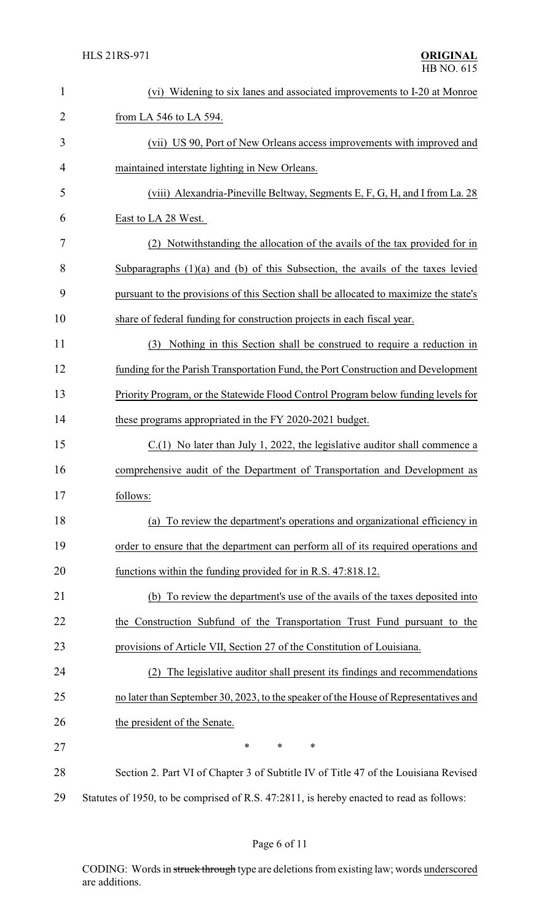| $\mathbf{1}$   | (vi) Widening to six lanes and associated improvements to I-20 at Monroe                 |
|----------------|------------------------------------------------------------------------------------------|
| $\overline{2}$ | from LA 546 to LA 594.                                                                   |
| 3              | (vii) US 90, Port of New Orleans access improvements with improved and                   |
| 4              | maintained interstate lighting in New Orleans.                                           |
| 5              | (viii) Alexandria-Pineville Beltway, Segments E, F, G, H, and I from La. 28              |
| 6              | East to LA 28 West.                                                                      |
| 7              | Notwithstanding the allocation of the avails of the tax provided for in<br>(2)           |
| 8              | Subparagraphs $(1)(a)$ and $(b)$ of this Subsection, the avails of the taxes levied      |
| 9              | pursuant to the provisions of this Section shall be allocated to maximize the state's    |
| 10             | share of federal funding for construction projects in each fiscal year.                  |
| 11             | (3) Nothing in this Section shall be construed to require a reduction in                 |
| 12             | funding for the Parish Transportation Fund, the Port Construction and Development        |
| 13             | Priority Program, or the Statewide Flood Control Program below funding levels for        |
| 14             | these programs appropriated in the FY 2020-2021 budget.                                  |
| 15             | $C(1)$ No later than July 1, 2022, the legislative auditor shall commence a              |
| 16             | comprehensive audit of the Department of Transportation and Development as               |
| 17             | follows:                                                                                 |
| 18             | To review the department's operations and organizational efficiency in<br>(a)            |
| 19             | order to ensure that the department can perform all of its required operations and       |
| 20             | functions within the funding provided for in R.S. 47:818.12.                             |
| 21             | (b) To review the department's use of the avails of the taxes deposited into             |
| 22             | the Construction Subfund of the Transportation Trust Fund pursuant to the                |
| 23             | provisions of Article VII, Section 27 of the Constitution of Louisiana.                  |
| 24             | The legislative auditor shall present its findings and recommendations<br>(2)            |
| 25             | no later than September 30, 2023, to the speaker of the House of Representatives and     |
| 26             | the president of the Senate.                                                             |
| 27             | $\ast$<br>*<br>*                                                                         |
| 28             | Section 2. Part VI of Chapter 3 of Subtitle IV of Title 47 of the Louisiana Revised      |
| 29             | Statutes of 1950, to be comprised of R.S. 47:2811, is hereby enacted to read as follows: |

# Page 6 of 11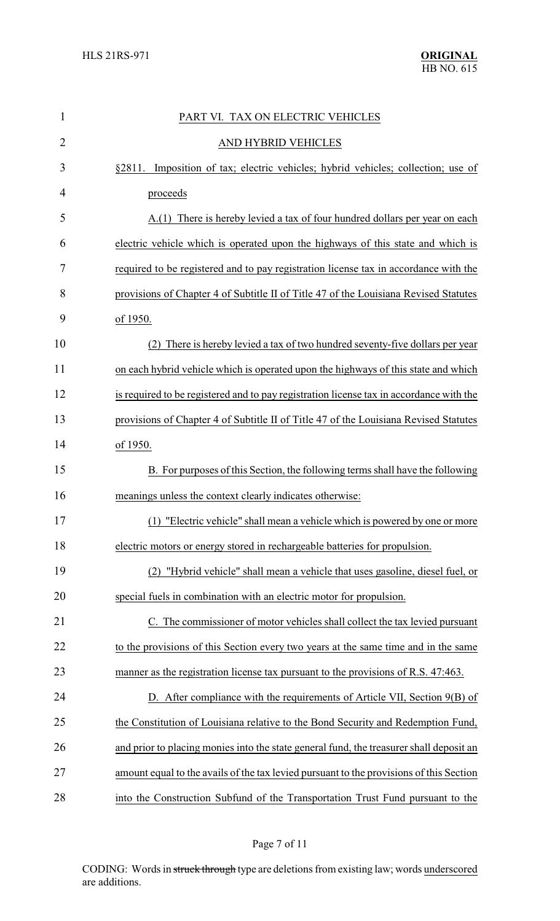| $\mathbf{1}$   | PART VI. TAX ON ELECTRIC VEHICLES                                                       |
|----------------|-----------------------------------------------------------------------------------------|
| $\overline{2}$ | AND HYBRID VEHICLES                                                                     |
| 3              | Imposition of tax; electric vehicles; hybrid vehicles; collection; use of<br>\$2811.    |
| 4              | proceeds                                                                                |
| 5              | A.(1) There is hereby levied a tax of four hundred dollars per year on each             |
| 6              | electric vehicle which is operated upon the highways of this state and which is         |
| 7              | required to be registered and to pay registration license tax in accordance with the    |
| 8              | provisions of Chapter 4 of Subtitle II of Title 47 of the Louisiana Revised Statutes    |
| 9              | of 1950.                                                                                |
| 10             | There is hereby levied a tax of two hundred seventy-five dollars per year               |
| 11             | on each hybrid vehicle which is operated upon the highways of this state and which      |
| 12             | is required to be registered and to pay registration license tax in accordance with the |
| 13             | provisions of Chapter 4 of Subtitle II of Title 47 of the Louisiana Revised Statutes    |
| 14             | of 1950.                                                                                |
| 15             | B. For purposes of this Section, the following terms shall have the following           |
| 16             | meanings unless the context clearly indicates otherwise:                                |
| 17             | (1) "Electric vehicle" shall mean a vehicle which is powered by one or more             |
| 18             | electric motors or energy stored in rechargeable batteries for propulsion.              |
| 19             | (2) "Hybrid vehicle" shall mean a vehicle that uses gasoline, diesel fuel, or           |
| 20             | special fuels in combination with an electric motor for propulsion.                     |
| 21             | C. The commissioner of motor vehicles shall collect the tax levied pursuant             |
| 22             | to the provisions of this Section every two years at the same time and in the same      |
| 23             | manner as the registration license tax pursuant to the provisions of R.S. 47:463.       |
| 24             | D. After compliance with the requirements of Article VII, Section 9(B) of               |
| 25             | the Constitution of Louisiana relative to the Bond Security and Redemption Fund,        |
| 26             | and prior to placing monies into the state general fund, the treasurer shall deposit an |
| 27             | amount equal to the avails of the tax levied pursuant to the provisions of this Section |
| 28             | into the Construction Subfund of the Transportation Trust Fund pursuant to the          |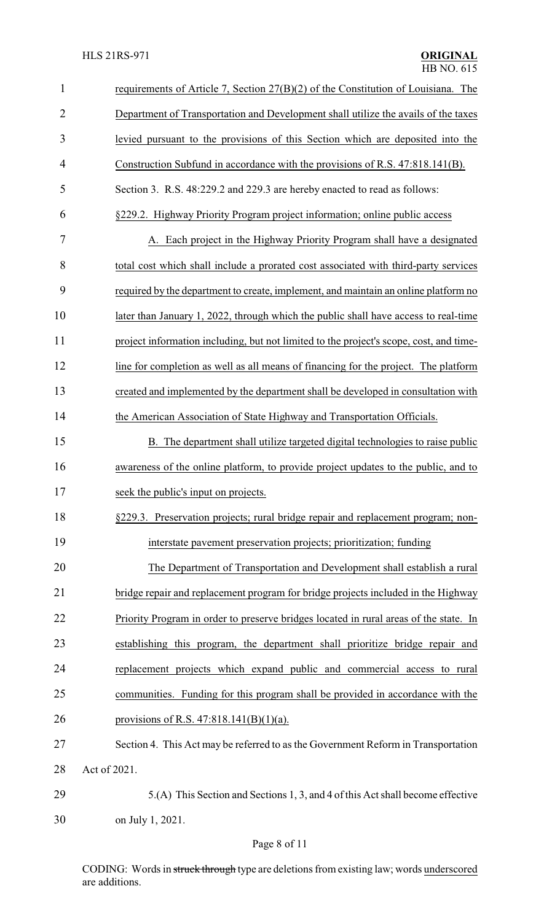| $\mathbf{1}$   | requirements of Article 7, Section 27(B)(2) of the Constitution of Louisiana. The      |  |
|----------------|----------------------------------------------------------------------------------------|--|
| $\overline{2}$ | Department of Transportation and Development shall utilize the avails of the taxes     |  |
| 3              | levied pursuant to the provisions of this Section which are deposited into the         |  |
| 4              | Construction Subfund in accordance with the provisions of R.S. 47:818.141(B).          |  |
| 5              | Section 3. R.S. 48:229.2 and 229.3 are hereby enacted to read as follows:              |  |
| 6              | §229.2. Highway Priority Program project information; online public access             |  |
| 7              | A. Each project in the Highway Priority Program shall have a designated                |  |
| 8              | total cost which shall include a prorated cost associated with third-party services    |  |
| 9              | required by the department to create, implement, and maintain an online platform no    |  |
| 10             | later than January 1, 2022, through which the public shall have access to real-time    |  |
| 11             | project information including, but not limited to the project's scope, cost, and time- |  |
| 12             | line for completion as well as all means of financing for the project. The platform    |  |
| 13             | created and implemented by the department shall be developed in consultation with      |  |
| 14             | the American Association of State Highway and Transportation Officials.                |  |
| 15             | B. The department shall utilize targeted digital technologies to raise public          |  |
| 16             | awareness of the online platform, to provide project updates to the public, and to     |  |
| 17             | seek the public's input on projects.                                                   |  |
| 18             | §229.3. Preservation projects; rural bridge repair and replacement program; non-       |  |
| 19             | interstate pavement preservation projects; prioritization; funding                     |  |
| 20             | The Department of Transportation and Development shall establish a rural               |  |
| 21             | bridge repair and replacement program for bridge projects included in the Highway      |  |
| 22             | Priority Program in order to preserve bridges located in rural areas of the state. In  |  |
| 23             | establishing this program, the department shall prioritize bridge repair and           |  |
| 24             | replacement projects which expand public and commercial access to rural                |  |
| 25             | communities. Funding for this program shall be provided in accordance with the         |  |
| 26             | provisions of R.S. 47:818.141(B)(1)(a).                                                |  |
| 27             | Section 4. This Act may be referred to as the Government Reform in Transportation      |  |
| 28             | Act of 2021.                                                                           |  |
| 29             | 5.(A) This Section and Sections 1, 3, and 4 of this Act shall become effective         |  |
| 30             | on July 1, 2021.                                                                       |  |

CODING: Words in struck through type are deletions from existing law; words underscored are additions.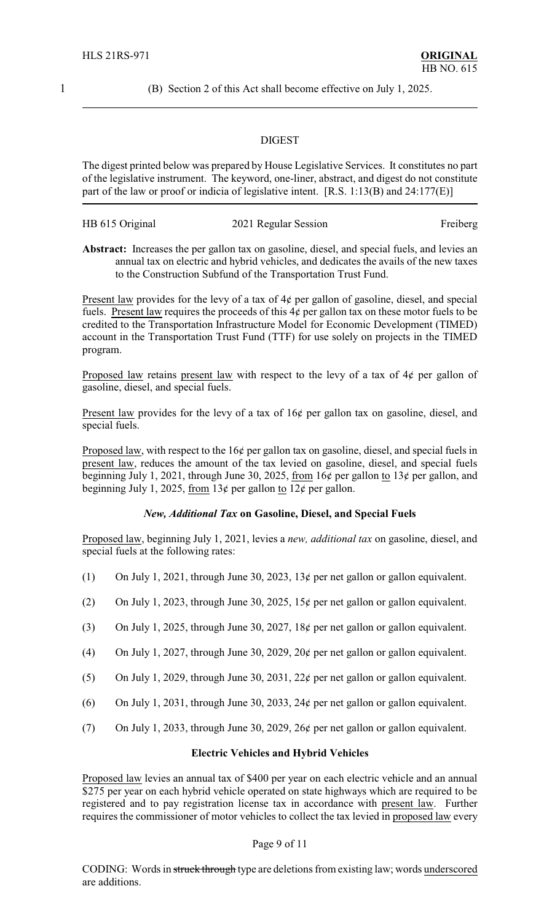1 (B) Section 2 of this Act shall become effective on July 1, 2025.

#### DIGEST

The digest printed below was prepared by House Legislative Services. It constitutes no part of the legislative instrument. The keyword, one-liner, abstract, and digest do not constitute part of the law or proof or indicia of legislative intent. [R.S. 1:13(B) and 24:177(E)]

| HB 615 Original | 2021 Regular Session | Freiberg |
|-----------------|----------------------|----------|
|-----------------|----------------------|----------|

**Abstract:** Increases the per gallon tax on gasoline, diesel, and special fuels, and levies an annual tax on electric and hybrid vehicles, and dedicates the avails of the new taxes to the Construction Subfund of the Transportation Trust Fund.

Present law provides for the levy of a tax of  $4¢$  per gallon of gasoline, diesel, and special fuels. Present law requires the proceeds of this  $4\phi$  per gallon tax on these motor fuels to be credited to the Transportation Infrastructure Model for Economic Development (TIMED) account in the Transportation Trust Fund (TTF) for use solely on projects in the TIMED program.

Proposed law retains present law with respect to the levy of a tax of  $4¢$  per gallon of gasoline, diesel, and special fuels.

Present law provides for the levy of a tax of 16¢ per gallon tax on gasoline, diesel, and special fuels.

Proposed law, with respect to the 16¢ per gallon tax on gasoline, diesel, and special fuels in present law, reduces the amount of the tax levied on gasoline, diesel, and special fuels beginning July 1, 2021, through June 30, 2025, from 16¢ per gallon to 13¢ per gallon, and beginning July 1, 2025, from  $13¢$  per gallon to  $12¢$  per gallon.

## *New, Additional Tax* **on Gasoline, Diesel, and Special Fuels**

Proposed law, beginning July 1, 2021, levies a *new, additional tax* on gasoline, diesel, and special fuels at the following rates:

- (1) On July 1, 2021, through June 30, 2023, 13¢ per net gallon or gallon equivalent.
- (2) On July 1, 2023, through June 30, 2025, 15 $\phi$  per net gallon or gallon equivalent.
- (3) On July 1, 2025, through June 30, 2027, 18¢ per net gallon or gallon equivalent.
- (4) On July 1, 2027, through June 30, 2029, 20 $\phi$  per net gallon or gallon equivalent.
- (5) On July 1, 2029, through June 30, 2031, 22 $\phi$  per net gallon or gallon equivalent.
- (6) On July 1, 2031, through June 30, 2033, 24 $\phi$  per net gallon or gallon equivalent.
- (7) On July 1, 2033, through June 30, 2029, 26 $\phi$  per net gallon or gallon equivalent.

#### **Electric Vehicles and Hybrid Vehicles**

Proposed law levies an annual tax of \$400 per year on each electric vehicle and an annual \$275 per year on each hybrid vehicle operated on state highways which are required to be registered and to pay registration license tax in accordance with present law. Further requires the commissioner of motor vehicles to collect the tax levied in proposed law every

#### Page 9 of 11

CODING: Words in struck through type are deletions from existing law; words underscored are additions.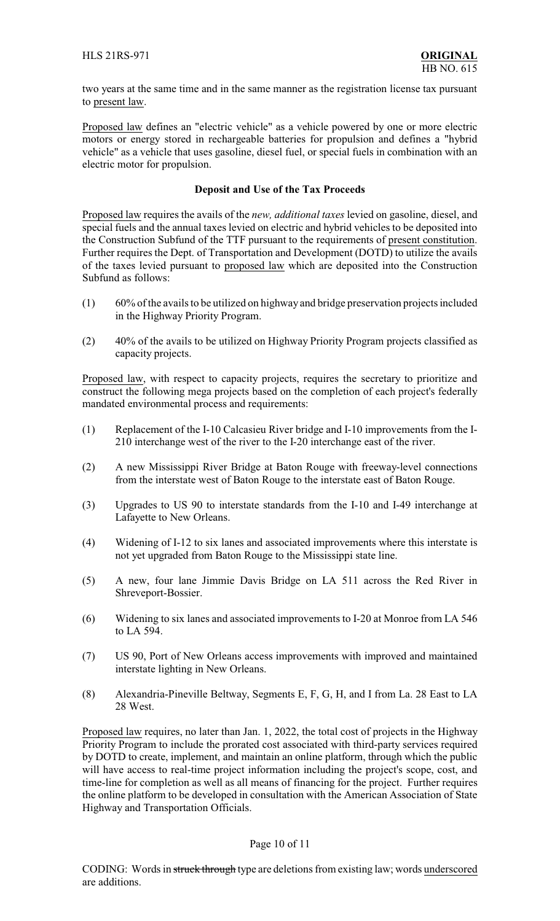two years at the same time and in the same manner as the registration license tax pursuant to present law.

Proposed law defines an "electric vehicle" as a vehicle powered by one or more electric motors or energy stored in rechargeable batteries for propulsion and defines a "hybrid vehicle" as a vehicle that uses gasoline, diesel fuel, or special fuels in combination with an electric motor for propulsion.

## **Deposit and Use of the Tax Proceeds**

Proposed law requires the avails of the *new, additional taxes* levied on gasoline, diesel, and special fuels and the annual taxes levied on electric and hybrid vehicles to be deposited into the Construction Subfund of the TTF pursuant to the requirements of present constitution. Further requires the Dept. of Transportation and Development (DOTD) to utilize the avails of the taxes levied pursuant to proposed law which are deposited into the Construction Subfund as follows:

- (1) 60% of the avails to be utilized on highway and bridge preservation projects included in the Highway Priority Program.
- (2) 40% of the avails to be utilized on Highway Priority Program projects classified as capacity projects.

Proposed law, with respect to capacity projects, requires the secretary to prioritize and construct the following mega projects based on the completion of each project's federally mandated environmental process and requirements:

- (1) Replacement of the I-10 Calcasieu River bridge and I-10 improvements from the I-210 interchange west of the river to the I-20 interchange east of the river.
- (2) A new Mississippi River Bridge at Baton Rouge with freeway-level connections from the interstate west of Baton Rouge to the interstate east of Baton Rouge.
- (3) Upgrades to US 90 to interstate standards from the I-10 and I-49 interchange at Lafayette to New Orleans.
- (4) Widening of I-12 to six lanes and associated improvements where this interstate is not yet upgraded from Baton Rouge to the Mississippi state line.
- (5) A new, four lane Jimmie Davis Bridge on LA 511 across the Red River in Shreveport-Bossier.
- (6) Widening to six lanes and associated improvements to I-20 at Monroe from LA 546 to LA 594.
- (7) US 90, Port of New Orleans access improvements with improved and maintained interstate lighting in New Orleans.
- (8) Alexandria-Pineville Beltway, Segments E, F, G, H, and I from La. 28 East to LA 28 West.

Proposed law requires, no later than Jan. 1, 2022, the total cost of projects in the Highway Priority Program to include the prorated cost associated with third-party services required by DOTD to create, implement, and maintain an online platform, through which the public will have access to real-time project information including the project's scope, cost, and time-line for completion as well as all means of financing for the project. Further requires the online platform to be developed in consultation with the American Association of State Highway and Transportation Officials.

## Page 10 of 11